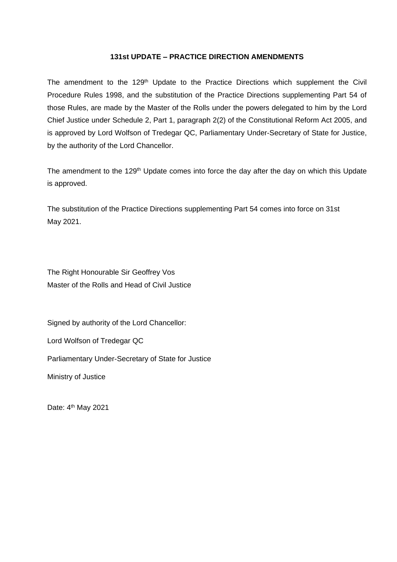#### **131st UPDATE – PRACTICE DIRECTION AMENDMENTS**

The amendment to the 129<sup>th</sup> Update to the Practice Directions which supplement the Civil Procedure Rules 1998, and the substitution of the Practice Directions supplementing Part 54 of those Rules, are made by the Master of the Rolls under the powers delegated to him by the Lord Chief Justice under Schedule 2, Part 1, paragraph 2(2) of the Constitutional Reform Act 2005, and is approved by Lord Wolfson of Tredegar QC, Parliamentary Under-Secretary of State for Justice, by the authority of the Lord Chancellor.

The amendment to the 129<sup>th</sup> Update comes into force the day after the day on which this Update is approved.

The substitution of the Practice Directions supplementing Part 54 comes into force on 31st May 2021.

The Right Honourable Sir Geoffrey Vos Master of the Rolls and Head of Civil Justice

Signed by authority of the Lord Chancellor:

Lord Wolfson of Tredegar QC

Parliamentary Under-Secretary of State for Justice

Ministry of Justice

Date: 4<sup>th</sup> May 2021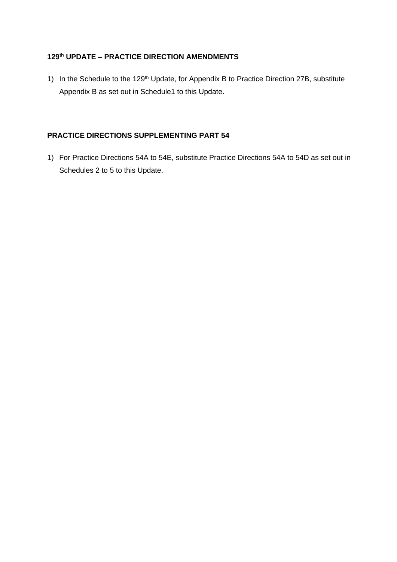## **129th UPDATE – PRACTICE DIRECTION AMENDMENTS**

1) In the Schedule to the 129<sup>th</sup> Update, for Appendix B to Practice Direction 27B, substitute Appendix B as set out in Schedule1 to this Update.

## **PRACTICE DIRECTIONS SUPPLEMENTING PART 54**

1) For Practice Directions 54A to 54E, substitute Practice Directions 54A to 54D as set out in Schedules 2 to 5 to this Update.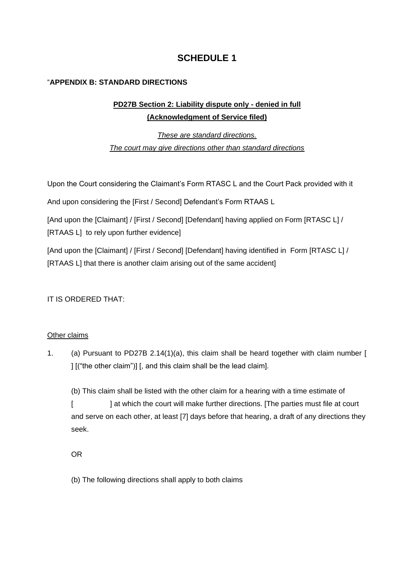# **SCHEDULE 1**

## "**APPENDIX B: STANDARD DIRECTIONS**

# **PD27B Section 2: Liability dispute only - denied in full (Acknowledgment of Service filed)**

*These are standard directions. The court may give directions other than standard directions*

Upon the Court considering the Claimant's Form RTASC L and the Court Pack provided with it

And upon considering the [First / Second] Defendant's Form RTAAS L

[And upon the [Claimant] / [First / Second] [Defendant] having applied on Form [RTASC L] / [RTAAS L] to rely upon further evidence]

[And upon the [Claimant] / [First / Second] [Defendant] having identified in Form [RTASC L] / [RTAAS L] that there is another claim arising out of the same accident]

IT IS ORDERED THAT:

## Other claims

1. (a) Pursuant to PD27B 2.14(1)(a), this claim shall be heard together with claim number [ ] [("the other claim")] [, and this claim shall be the lead claim].

(b) This claim shall be listed with the other claim for a hearing with a time estimate of [  $\blacksquare$  at which the court will make further directions. [The parties must file at court and serve on each other, at least [7] days before that hearing, a draft of any directions they seek.

OR

(b) The following directions shall apply to both claims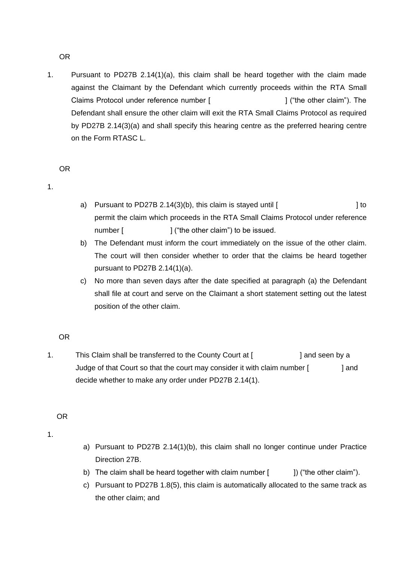OR

1. Pursuant to PD27B 2.14(1)(a), this claim shall be heard together with the claim made against the Claimant by the Defendant which currently proceeds within the RTA Small Claims Protocol under reference number [  $\qquad$  ] ("the other claim"). The Defendant shall ensure the other claim will exit the RTA Small Claims Protocol as required by PD27B 2.14(3)(a) and shall specify this hearing centre as the preferred hearing centre on the Form RTASC L.

#### OR

1.

- a) Pursuant to PD27B 2.14(3)(b), this claim is stayed until  $[$ permit the claim which proceeds in the RTA Small Claims Protocol under reference number [ ] ("the other claim") to be issued.
- b) The Defendant must inform the court immediately on the issue of the other claim. The court will then consider whether to order that the claims be heard together pursuant to PD27B 2.14(1)(a).
- c) No more than seven days after the date specified at paragraph (a) the Defendant shall file at court and serve on the Claimant a short statement setting out the latest position of the other claim.

#### OR

1. This Claim shall be transferred to the County Court at [ ] and seen by a Judge of that Court so that the court may consider it with claim number [ ] and decide whether to make any order under PD27B 2.14(1).

#### OR

1.

- a) Pursuant to PD27B 2.14(1)(b), this claim shall no longer continue under Practice Direction 27B.
- b) The claim shall be heard together with claim number  $[$   $]$ ) ("the other claim").
- c) Pursuant to PD27B 1.8(5), this claim is automatically allocated to the same track as the other claim; and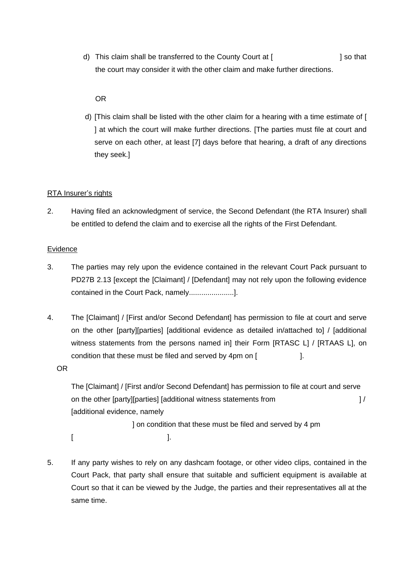d) This claim shall be transferred to the County Court at [  $\qquad$  ] so that the court may consider it with the other claim and make further directions.

## OR

d) [This claim shall be listed with the other claim for a hearing with a time estimate of [ ] at which the court will make further directions. [The parties must file at court and serve on each other, at least [7] days before that hearing, a draft of any directions they seek.]

### RTA Insurer's rights

2. Having filed an acknowledgment of service, the Second Defendant (the RTA Insurer) shall be entitled to defend the claim and to exercise all the rights of the First Defendant.

#### **Evidence**

- 3. The parties may rely upon the evidence contained in the relevant Court Pack pursuant to PD27B 2.13 [except the [Claimant] / [Defendant] may not rely upon the following evidence contained in the Court Pack, namely......................].
- 4. The [Claimant] / [First and/or Second Defendant] has permission to file at court and serve on the other [party][parties] [additional evidence as detailed in/attached to] / [additional witness statements from the persons named in] their Form [RTASC L] / [RTAAS L], on condition that these must be filed and served by 4pm on [

OR

The [Claimant] / [First and/or Second Defendant] has permission to file at court and serve on the other [party][parties] [additional witness statements from ] / [additional evidence, namely

 ] on condition that these must be filed and served by 4 pm  $[$   $]$ .  $]$ .

5. If any party wishes to rely on any dashcam footage, or other video clips, contained in the Court Pack, that party shall ensure that suitable and sufficient equipment is available at Court so that it can be viewed by the Judge, the parties and their representatives all at the same time.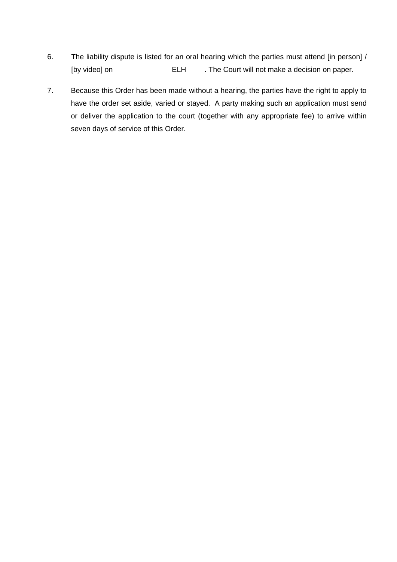- 6. The liability dispute is listed for an oral hearing which the parties must attend [in person] / [by video] on **ELH** . The Court will not make a decision on paper.
- 7. Because this Order has been made without a hearing, the parties have the right to apply to have the order set aside, varied or stayed. A party making such an application must send or deliver the application to the court (together with any appropriate fee) to arrive within seven days of service of this Order.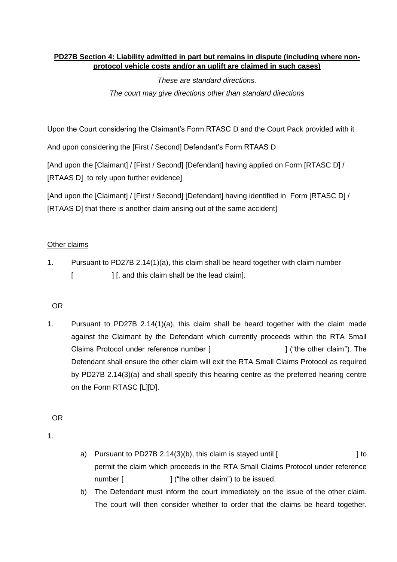## **PD27B Section 4: Liability admitted in part but remains in dispute (including where nonprotocol vehicle costs and/or an uplift are claimed in such cases)**

## *These are standard directions.*

## *The court may give directions other than standard directions*

Upon the Court considering the Claimant's Form RTASC D and the Court Pack provided with it

And upon considering the [First / Second] Defendant's Form RTAAS D

[And upon the [Claimant] / [First / Second] [Defendant] having applied on Form [RTASC D] / [RTAAS D] to rely upon further evidence]

[And upon the [Claimant] / [First / Second] [Defendant] having identified in Form [RTASC D] / [RTAAS D] that there is another claim arising out of the same accident]

## Other claims

1. Pursuant to PD27B 2.14(1)(a), this claim shall be heard together with claim number [  $\blacksquare$  ] [, and this claim shall be the lead claim].

## OR

1. Pursuant to PD27B 2.14(1)(a), this claim shall be heard together with the claim made against the Claimant by the Defendant which currently proceeds within the RTA Small Claims Protocol under reference number [  $\qquad$  ] ("the other claim"). The Defendant shall ensure the other claim will exit the RTA Small Claims Protocol as required by PD27B 2.14(3)(a) and shall specify this hearing centre as the preferred hearing centre on the Form RTASC [L][D].

OR

1.

- a) Pursuant to PD27B 2.14(3)(b), this claim is stayed until  $\lceil$ permit the claim which proceeds in the RTA Small Claims Protocol under reference number [  $\vert$   $\vert$  ("the other claim") to be issued.
- b) The Defendant must inform the court immediately on the issue of the other claim. The court will then consider whether to order that the claims be heard together.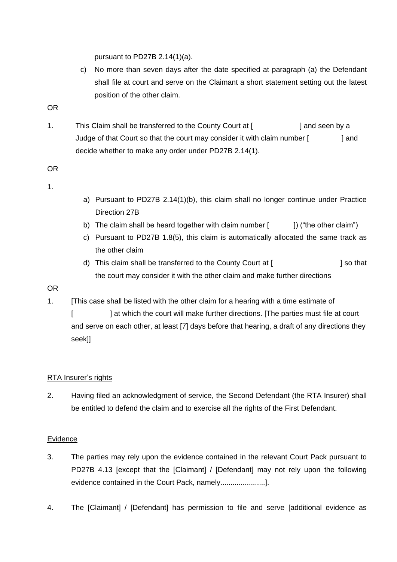pursuant to PD27B 2.14(1)(a).

- c) No more than seven days after the date specified at paragraph (a) the Defendant shall file at court and serve on the Claimant a short statement setting out the latest position of the other claim.
- OR
- 1. This Claim shall be transferred to the County Court at [ ] and seen by a Judge of that Court so that the court may consider it with claim number [ ] and decide whether to make any order under PD27B 2.14(1).

OR

1.

- a) Pursuant to PD27B 2.14(1)(b), this claim shall no longer continue under Practice Direction 27B
- b) The claim shall be heard together with claim number  $[$  ]) ("the other claim")
- c) Pursuant to PD27B 1.8(5), this claim is automatically allocated the same track as the other claim
- d) This claim shall be transferred to the County Court at [  $\qquad$  ] so that the court may consider it with the other claim and make further directions

## OR

1. [This case shall be listed with the other claim for a hearing with a time estimate of

[  $\blacksquare$  ] at which the court will make further directions. [The parties must file at court and serve on each other, at least [7] days before that hearing, a draft of any directions they seek]]

## RTA Insurer's rights

2. Having filed an acknowledgment of service, the Second Defendant (the RTA Insurer) shall be entitled to defend the claim and to exercise all the rights of the First Defendant.

## **Evidence**

- 3. The parties may rely upon the evidence contained in the relevant Court Pack pursuant to PD27B 4.13 [except that the [Claimant] / [Defendant] may not rely upon the following evidence contained in the Court Pack, namely......................].
- 4. The [Claimant] / [Defendant] has permission to file and serve [additional evidence as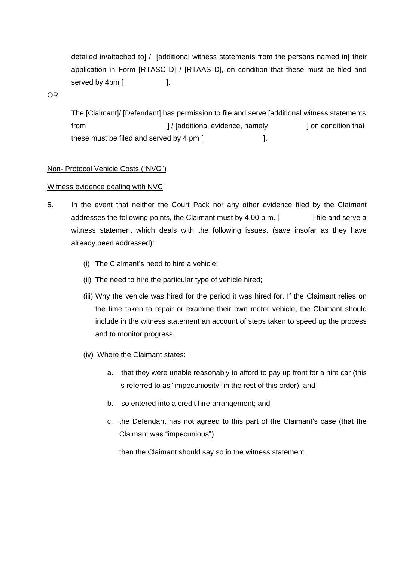detailed in/attached to] / [additional witness statements from the persons named in] their application in Form [RTASC D] / [RTAAS D], on condition that these must be filed and served by 4pm [ ].

OR

The [Claimant]/ [Defendant] has permission to file and serve [additional witness statements from  $\vert$  / [additional evidence, namely  $\vert$  on condition that these must be filed and served by  $4 \text{ pm}$  [

#### Non- Protocol Vehicle Costs ("NVC")

#### Witness evidence dealing with NVC

- 5. In the event that neither the Court Pack nor any other evidence filed by the Claimant addresses the following points, the Claimant must by  $4.00$  p.m. [ ] file and serve a witness statement which deals with the following issues, (save insofar as they have already been addressed):
	- (i) The Claimant's need to hire a vehicle;
	- (ii) The need to hire the particular type of vehicle hired;
	- (iii) Why the vehicle was hired for the period it was hired for. If the Claimant relies on the time taken to repair or examine their own motor vehicle, the Claimant should include in the witness statement an account of steps taken to speed up the process and to monitor progress.
	- (iv) Where the Claimant states:
		- a. that they were unable reasonably to afford to pay up front for a hire car (this is referred to as "impecuniosity" in the rest of this order); and
		- b. so entered into a credit hire arrangement; and
		- c. the Defendant has not agreed to this part of the Claimant's case (that the Claimant was "impecunious")

then the Claimant should say so in the witness statement.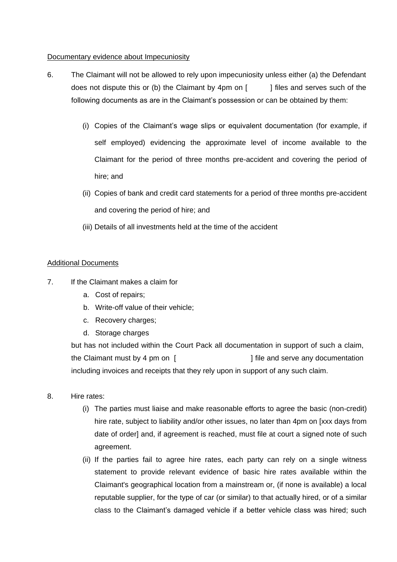#### Documentary evidence about Impecuniosity

- 6. The Claimant will not be allowed to rely upon impecuniosity unless either (a) the Defendant does not dispute this or (b) the Claimant by 4pm on  $\lceil \cdot \cdot \cdot \rceil$  files and serves such of the following documents as are in the Claimant's possession or can be obtained by them:
	- (i) Copies of the Claimant's wage slips or equivalent documentation (for example, if self employed) evidencing the approximate level of income available to the Claimant for the period of three months pre-accident and covering the period of hire; and
	- (ii) Copies of bank and credit card statements for a period of three months pre-accident and covering the period of hire; and
	- (iii) Details of all investments held at the time of the accident

### Additional Documents

- 7. If the Claimant makes a claim for
	- a. Cost of repairs;
	- b. Write-off value of their vehicle;
	- c. Recovery charges;
	- d. Storage charges

but has not included within the Court Pack all documentation in support of such a claim, the Claimant must by 4 pm on [ ] file and serve any documentation including invoices and receipts that they rely upon in support of any such claim.

- 8. Hire rates:
	- (i) The parties must liaise and make reasonable efforts to agree the basic (non-credit) hire rate, subject to liability and/or other issues, no later than 4pm on [xxx days from date of order] and, if agreement is reached, must file at court a signed note of such agreement.
	- (ii) If the parties fail to agree hire rates, each party can rely on a single witness statement to provide relevant evidence of basic hire rates available within the Claimant's geographical location from a mainstream or, (if none is available) a local reputable supplier, for the type of car (or similar) to that actually hired, or of a similar class to the Claimant's damaged vehicle if a better vehicle class was hired; such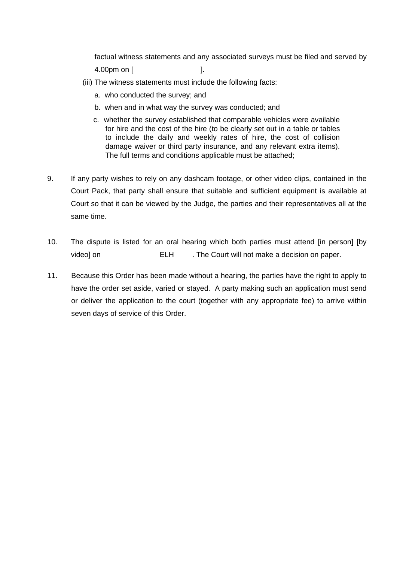factual witness statements and any associated surveys must be filed and served by 4.00pm on [ ].

- (iii) The witness statements must include the following facts:
	- a. who conducted the survey; and
	- b. when and in what way the survey was conducted; and
	- c. whether the survey established that comparable vehicles were available for hire and the cost of the hire (to be clearly set out in a table or tables to include the daily and weekly rates of hire, the cost of collision damage waiver or third party insurance, and any relevant extra items). The full terms and conditions applicable must be attached;
- 9. If any party wishes to rely on any dashcam footage, or other video clips, contained in the Court Pack, that party shall ensure that suitable and sufficient equipment is available at Court so that it can be viewed by the Judge, the parties and their representatives all at the same time.
- 10. The dispute is listed for an oral hearing which both parties must attend [in person] [by video] on ELH . The Court will not make a decision on paper.
- 11. Because this Order has been made without a hearing, the parties have the right to apply to have the order set aside, varied or stayed. A party making such an application must send or deliver the application to the court (together with any appropriate fee) to arrive within seven days of service of this Order.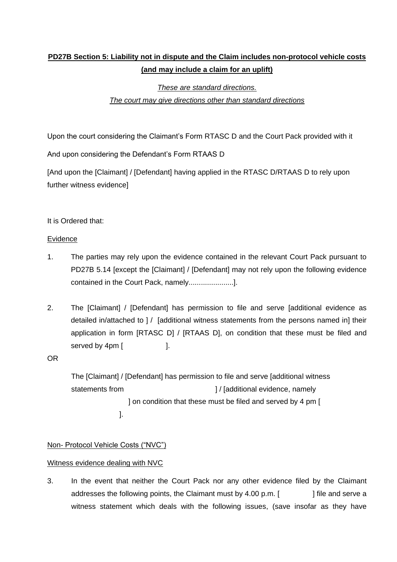# **PD27B Section 5: Liability not in dispute and the Claim includes non-protocol vehicle costs (and may include a claim for an uplift)**

# *These are standard directions. The court may give directions other than standard directions*

Upon the court considering the Claimant's Form RTASC D and the Court Pack provided with it

And upon considering the Defendant's Form RTAAS D

[And upon the [Claimant] / [Defendant] having applied in the RTASC D/RTAAS D to rely upon further witness evidence]

## It is Ordered that:

### Evidence

- 1. The parties may rely upon the evidence contained in the relevant Court Pack pursuant to PD27B 5.14 [except the [Claimant] / [Defendant] may not rely upon the following evidence contained in the Court Pack, namely......................].
- 2. The [Claimant] / [Defendant] has permission to file and serve [additional evidence as detailed in/attached to ] / [additional witness statements from the persons named in] their application in form [RTASC D] / [RTAAS D], on condition that these must be filed and served by 4pm [ ].

## OR

The [Claimant] / [Defendant] has permission to file and serve [additional witness statements from  $\vert$  / [additional evidence, namely ] on condition that these must be filed and served by 4 pm [ ].

## Non- Protocol Vehicle Costs ("NVC")

## Witness evidence dealing with NVC

3. In the event that neither the Court Pack nor any other evidence filed by the Claimant addresses the following points, the Claimant must by  $4.00 \text{ p.m.}$  [ $\qquad$ ] file and serve a witness statement which deals with the following issues, (save insofar as they have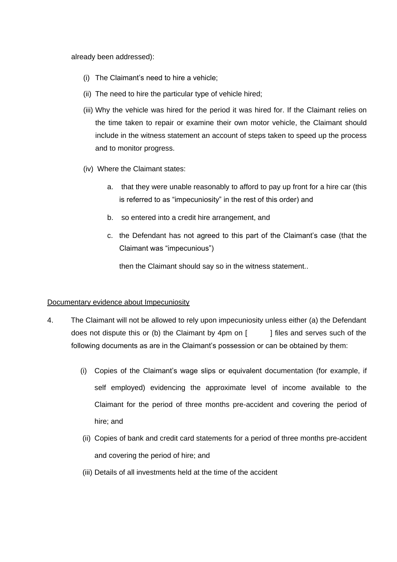already been addressed):

- (i) The Claimant's need to hire a vehicle;
- (ii) The need to hire the particular type of vehicle hired;
- (iii) Why the vehicle was hired for the period it was hired for. If the Claimant relies on the time taken to repair or examine their own motor vehicle, the Claimant should include in the witness statement an account of steps taken to speed up the process and to monitor progress.
- (iv) Where the Claimant states:
	- a. that they were unable reasonably to afford to pay up front for a hire car (this is referred to as "impecuniosity" in the rest of this order) and
	- b. so entered into a credit hire arrangement, and
	- c. the Defendant has not agreed to this part of the Claimant's case (that the Claimant was "impecunious")

then the Claimant should say so in the witness statement..

#### Documentary evidence about Impecuniosity

- 4. The Claimant will not be allowed to rely upon impecuniosity unless either (a) the Defendant does not dispute this or (b) the Claimant by 4pm on  $\lceil \cdot \cdot \cdot \rceil$  files and serves such of the following documents as are in the Claimant's possession or can be obtained by them:
	- (i) Copies of the Claimant's wage slips or equivalent documentation (for example, if self employed) evidencing the approximate level of income available to the Claimant for the period of three months pre-accident and covering the period of hire; and
	- (ii) Copies of bank and credit card statements for a period of three months pre-accident and covering the period of hire; and
	- (iii) Details of all investments held at the time of the accident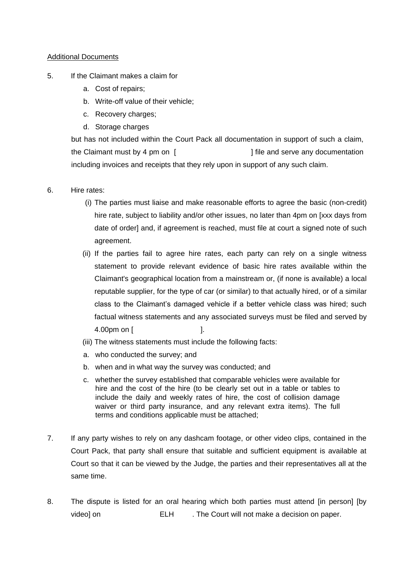#### Additional Documents

- 5. If the Claimant makes a claim for
	- a. Cost of repairs;
	- b. Write-off value of their vehicle;
	- c. Recovery charges;
	- d. Storage charges

but has not included within the Court Pack all documentation in support of such a claim, the Claimant must by 4 pm on [  $\qquad \qquad$  ] file and serve any documentation including invoices and receipts that they rely upon in support of any such claim.

- 6. Hire rates:
	- (i) The parties must liaise and make reasonable efforts to agree the basic (non-credit) hire rate, subject to liability and/or other issues, no later than 4pm on [xxx days from date of order] and, if agreement is reached, must file at court a signed note of such agreement.
	- (ii) If the parties fail to agree hire rates, each party can rely on a single witness statement to provide relevant evidence of basic hire rates available within the Claimant's geographical location from a mainstream or, (if none is available) a local reputable supplier, for the type of car (or similar) to that actually hired, or of a similar class to the Claimant's damaged vehicle if a better vehicle class was hired; such factual witness statements and any associated surveys must be filed and served by 4.00pm on [ ].
	- (iii) The witness statements must include the following facts:
	- a. who conducted the survey; and
	- b. when and in what way the survey was conducted; and
	- c. whether the survey established that comparable vehicles were available for hire and the cost of the hire (to be clearly set out in a table or tables to include the daily and weekly rates of hire, the cost of collision damage waiver or third party insurance, and any relevant extra items). The full terms and conditions applicable must be attached;
- 7. If any party wishes to rely on any dashcam footage, or other video clips, contained in the Court Pack, that party shall ensure that suitable and sufficient equipment is available at Court so that it can be viewed by the Judge, the parties and their representatives all at the same time.
- 8. The dispute is listed for an oral hearing which both parties must attend [in person] [by video] on **ELH** . The Court will not make a decision on paper.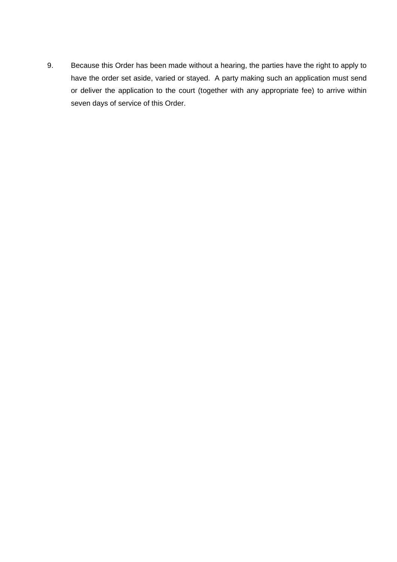9. Because this Order has been made without a hearing, the parties have the right to apply to have the order set aside, varied or stayed. A party making such an application must send or deliver the application to the court (together with any appropriate fee) to arrive within seven days of service of this Order.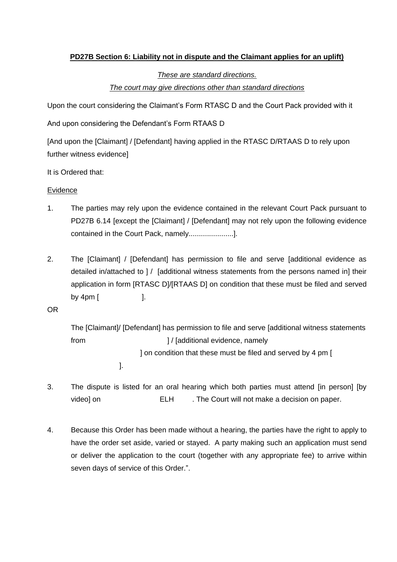## **PD27B Section 6: Liability not in dispute and the Claimant applies for an uplift)**

# *These are standard directions. The court may give directions other than standard directions*

Upon the court considering the Claimant's Form RTASC D and the Court Pack provided with it

And upon considering the Defendant's Form RTAAS D

[And upon the [Claimant] / [Defendant] having applied in the RTASC D/RTAAS D to rely upon further witness evidence]

It is Ordered that:

## Evidence

- 1. The parties may rely upon the evidence contained in the relevant Court Pack pursuant to PD27B 6.14 [except the [Claimant] / [Defendant] may not rely upon the following evidence contained in the Court Pack, namely......................].
- 2. The [Claimant] / [Defendant] has permission to file and serve [additional evidence as detailed in/attached to ] / [additional witness statements from the persons named in] their application in form [RTASC D]/[RTAAS D] on condition that these must be filed and served by 4pm [ ].

OR

```
The [Claimant]/ [Defendant] has permission to file and serve [additional witness statements 
from \vert / [additional evidence, namely
                    ] on condition that these must be filed and served by 4 pm [
             ].
```
- 3. The dispute is listed for an oral hearing which both parties must attend [in person] [by video] on ELH . The Court will not make a decision on paper.
- 4. Because this Order has been made without a hearing, the parties have the right to apply to have the order set aside, varied or stayed. A party making such an application must send or deliver the application to the court (together with any appropriate fee) to arrive within seven days of service of this Order.".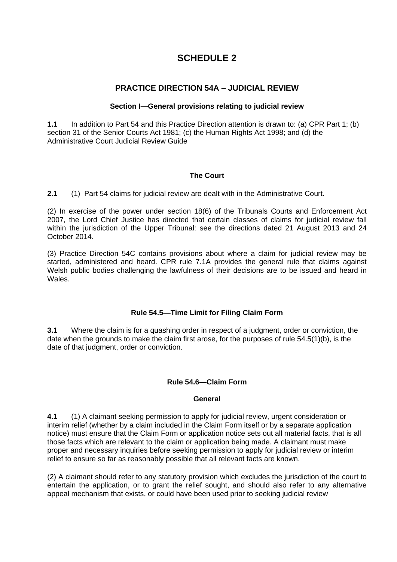# **SCHEDULE 2**

## **PRACTICE DIRECTION 54A – JUDICIAL REVIEW**

#### **Section I—General provisions relating to judicial review**

**1.1** In addition to [Part](https://uk.westlaw.com/Link/Document/FullText?findType=Y&serNum=0295220712&pubNum=121175&originatingDoc=I3F9EEBD0777811E79212DFEE3C6BBBA5&refType=UL&originationContext=document&transitionType=CommentaryUKLink&contextData=(sc.Category)) 54 and this Practice Direction attention is drawn to: (a) CPR Part 1; (b) [section](https://uk.westlaw.com/Link/Document/FullText?findType=Y&serNum=0111235108&pubNum=121177&originatingDoc=I3F9EEBD0777811E79212DFEE3C6BBBA5&refType=UL&originationContext=document&transitionType=CommentaryUKLink&contextData=(sc.Category)) 31 of the Senior Courts Act 1981; (c) the [Human](https://uk.westlaw.com/Link/Document/FullText?findType=Y&serNum=0292647670&pubNum=121177&originatingDoc=I3F9EEBD0777811E79212DFEE3C6BBBA5&refType=UL&originationContext=document&transitionType=CommentaryUKLink&contextData=(sc.Category)) Rights Act 1998; and (d) the Administrative Court Judicial Review Guide

### **The Court**

**2.1** (1) Part 54 claims for judicial review are dealt with in the Administrative Court.

(2) In exercise of the power under section 18(6) of the Tribunals Courts and Enforcement Act 2007, the Lord Chief Justice has directed that certain classes of claims for judicial review fall within the jurisdiction of the Upper Tribunal: see the directions dated 21 August 2013 and 24 October 2014.

(3) Practice Direction 54C contains provisions about where a claim for judicial review may be started, administered and heard. CPR rule 7.1A provides the general rule that claims against Welsh public bodies challenging the lawfulness of their decisions are to be issued and heard in Wales.

## **Rule 54.5—Time Limit for Filing Claim Form**

**3.1** Where the claim is for a quashing order in respect of a judgment, order or conviction, the date when the grounds to make the claim first arose, for the purposes of rule [54.5\(1\)\(b\),](https://uk.westlaw.com/Link/Document/FullText?findType=Y&serNum=0116692707&pubNum=121175&originatingDoc=I3F9EEBD0777811E79212DFEE3C6BBBA5&refType=UL&originationContext=document&transitionType=CommentaryUKLink&contextData=(sc.Category)) is the date of that judgment, order or conviction.

#### **Rule 54.6—Claim Form**

#### **General**

**4.1** (1) A claimant seeking permission to apply for judicial review, urgent consideration or interim relief (whether by a claim included in the Claim Form itself or by a separate application notice) must ensure that the Claim Form or application notice sets out all material facts, that is all those facts which are relevant to the claim or application being made. A claimant must make proper and necessary inquiries before seeking permission to apply for judicial review or interim relief to ensure so far as reasonably possible that all relevant facts are known.

(2) A claimant should refer to any statutory provision which excludes the jurisdiction of the court to entertain the application, or to grant the relief sought, and should also refer to any alternative appeal mechanism that exists, or could have been used prior to seeking judicial review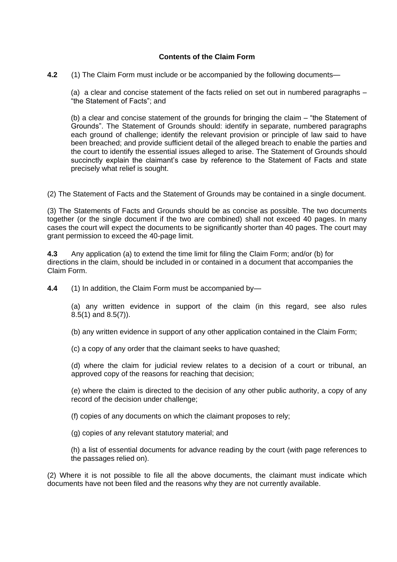#### **Contents of the Claim Form**

**4.2** (1) The Claim Form must include or be accompanied by the following documents—

(a) a clear and concise statement of the facts relied on set out in numbered paragraphs – "the Statement of Facts"; and

(b) a clear and concise statement of the grounds for bringing the claim – "the Statement of Grounds". The Statement of Grounds should: identify in separate, numbered paragraphs each ground of challenge; identify the relevant provision or principle of law said to have been breached; and provide sufficient detail of the alleged breach to enable the parties and the court to identify the essential issues alleged to arise. The Statement of Grounds should succinctly explain the claimant's case by reference to the Statement of Facts and state precisely what relief is sought.

(2) The Statement of Facts and the Statement of Grounds may be contained in a single document.

(3) The Statements of Facts and Grounds should be as concise as possible. The two documents together (or the single document if the two are combined) shall not exceed 40 pages. In many cases the court will expect the documents to be significantly shorter than 40 pages. The court may grant permission to exceed the 40-page limit.

**4.3** Any application (a) to extend the time limit for filing the Claim Form; and/or (b) for directions in the claim, should be included in or contained in a document that accompanies the Claim Form.

**4.4** (1) In addition, the Claim Form must be accompanied by—

(a) any written evidence in support of the claim (in this regard, see also [rules](https://uk.westlaw.com/Link/Document/FullText?findType=Y&serNum=0111255320&pubNum=121175&originatingDoc=I3F9EEBD0777811E79212DFEE3C6BBBA5&refType=UL&originationContext=document&transitionType=CommentaryUKLink&contextData=(sc.Category)) [8.5\(1\)](https://uk.westlaw.com/Link/Document/FullText?findType=Y&serNum=0111255320&pubNum=121175&originatingDoc=I3F9EEBD0777811E79212DFEE3C6BBBA5&refType=UL&originationContext=document&transitionType=CommentaryUKLink&contextData=(sc.Category)) and [8.5\(7\)\)](https://uk.westlaw.com/Link/Document/FullText?findType=Y&serNum=0111255320&pubNum=121175&originatingDoc=I3F9EEBD0777811E79212DFEE3C6BBBA5&refType=UL&originationContext=document&transitionType=CommentaryUKLink&contextData=(sc.Category)).

(b) any written evidence in support of any other application contained in the Claim Form;

(c) a copy of any order that the claimant seeks to have quashed;

(d) where the claim for judicial review relates to a decision of a court or tribunal, an approved copy of the reasons for reaching that decision;

(e) where the claim is directed to the decision of any other public authority, a copy of any record of the decision under challenge;

(f) copies of any documents on which the claimant proposes to rely;

(g) copies of any relevant statutory material; and

(h) a list of essential documents for advance reading by the court (with page references to the passages relied on).

(2) Where it is not possible to file all the above documents, the claimant must indicate which documents have not been filed and the reasons why they are not currently available.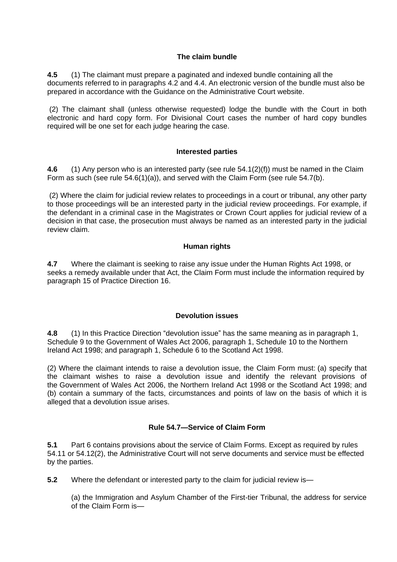#### **The claim bundle**

**4.5** (1) The claimant must prepare a paginated and indexed bundle containing all the documents referred to in paragraphs 4.2 and 4.4. An electronic version of the bundle must also be prepared in accordance with the Guidance on the Administrative Court website.

(2) The claimant shall (unless otherwise requested) lodge the bundle with the Court in both electronic and hard copy form. For Divisional Court cases the number of hard copy bundles required will be one set for each judge hearing the case.

#### **Interested parties**

**4.6** (1) Any person who is an interested party (see rule 54.1(2)(f)) must be named in the Claim Form as such (see rule [54.6\(1\)\(a\)\)](https://uk.westlaw.com/Link/Document/FullText?findType=Y&serNum=0116692715&pubNum=121175&originatingDoc=I3F9EEBD0777811E79212DFEE3C6BBBA5&refType=UL&originationContext=document&transitionType=CommentaryUKLink&contextData=(sc.Category)), and served with the Claim Form (see rule [54.7\(b\).](https://uk.westlaw.com/Link/Document/FullText?findType=Y&serNum=0290628409&pubNum=121175&originatingDoc=I3F9EEBD0777811E79212DFEE3C6BBBA5&refType=UL&originationContext=document&transitionType=CommentaryUKLink&contextData=(sc.Category))

(2) Where the claim for judicial review relates to proceedings in a court or tribunal, any other party to those proceedings will be an interested party in the judicial review proceedings. For example, if the defendant in a criminal case in the Magistrates or Crown Court applies for judicial review of a decision in that case, the prosecution must always be named as an interested party in the judicial review claim.

#### **Human rights**

**4.7** Where the claimant is seeking to raise any issue under the [Human](https://uk.westlaw.com/Link/Document/FullText?findType=Y&serNum=0292647670&pubNum=121177&originatingDoc=I3F9EEBD0777811E79212DFEE3C6BBBA5&refType=UL&originationContext=document&transitionType=CommentaryUKLink&contextData=(sc.Category)) Rights Act 1998, or seeks a remedy available under that Act, the Claim Form must include the information required by paragraph 15 of Practice Direction 16.

#### **Devolution issues**

**4.8** (1) In this Practice Direction "devolution issue" has the same meaning as in [paragraph](https://uk.westlaw.com/Link/Document/FullText?findType=Y&serNum=0305523010&pubNum=121177&originatingDoc=I3F9EEBD0777811E79212DFEE3C6BBBA5&refType=UL&originationContext=document&transitionType=CommentaryUKLink&contextData=(sc.Category)) 1, Schedule 9 to the [Government](https://uk.westlaw.com/Link/Document/FullText?findType=Y&serNum=0305523010&pubNum=121177&originatingDoc=I3F9EEBD0777811E79212DFEE3C6BBBA5&refType=UL&originationContext=document&transitionType=CommentaryUKLink&contextData=(sc.Category)) of Wales Act 2006, [paragraph](https://uk.westlaw.com/Link/Document/FullText?findType=Y&serNum=0111125684&pubNum=121177&originatingDoc=I3F9EEBD0777811E79212DFEE3C6BBBA5&refType=UL&originationContext=document&transitionType=CommentaryUKLink&contextData=(sc.Category)) 1, Schedule 10 to the Northern [Ireland](https://uk.westlaw.com/Link/Document/FullText?findType=Y&serNum=0111125684&pubNum=121177&originatingDoc=I3F9EEBD0777811E79212DFEE3C6BBBA5&refType=UL&originationContext=document&transitionType=CommentaryUKLink&contextData=(sc.Category)) Act 1998; and [paragraph](https://uk.westlaw.com/Link/Document/FullText?findType=Y&serNum=0111187170&pubNum=121177&originatingDoc=I3F9EEBD0777811E79212DFEE3C6BBBA5&refType=UL&originationContext=document&transitionType=CommentaryUKLink&contextData=(sc.Category)) 1, Schedule 6 to the Scotland Act 1998.

(2) Where the claimant intends to raise a devolution issue, the Claim Form must: (a) specify that the claimant wishes to raise a devolution issue and identify the relevant provisions of the [Government](https://uk.westlaw.com/Link/Document/FullText?findType=Y&serNum=0305521939&pubNum=121177&originatingDoc=I3F9EEBD0777811E79212DFEE3C6BBBA5&refType=UL&originationContext=document&transitionType=CommentaryUKLink&contextData=(sc.Category)) of Wales Act 2006, the [Northern](https://uk.westlaw.com/Link/Document/FullText?findType=Y&serNum=0292711382&pubNum=121177&originatingDoc=I3F9EEBD0777811E79212DFEE3C6BBBA5&refType=UL&originationContext=document&transitionType=CommentaryUKLink&contextData=(sc.Category)) Ireland Act 1998 or the [Scotland](https://uk.westlaw.com/Link/Document/FullText?findType=Y&serNum=0292772381&pubNum=121177&originatingDoc=I3F9EEBD0777811E79212DFEE3C6BBBA5&refType=UL&originationContext=document&transitionType=CommentaryUKLink&contextData=(sc.Category)) Act 1998; and (b) contain a summary of the facts, circumstances and points of law on the basis of which it is alleged that a devolution issue arises.

## **Rule 54.7—Service of Claim Form**

**5.1** [Part](https://uk.westlaw.com/Link/Document/FullText?findType=Y&serNum=0294884960&pubNum=121175&originatingDoc=I3F9EEBD0777811E79212DFEE3C6BBBA5&refType=UL&originationContext=document&transitionType=CommentaryUKLink&contextData=(sc.Category)) 6 contains provisions about the service of Claim Forms. Except as required by [rules](https://uk.westlaw.com/Link/Document/FullText?findType=Y&serNum=0116692741&pubNum=121175&originatingDoc=I3F9EEBD0777811E79212DFEE3C6BBBA5&refType=UL&originationContext=document&transitionType=CommentaryUKLink&contextData=(sc.Category)) [54.11](https://uk.westlaw.com/Link/Document/FullText?findType=Y&serNum=0116692741&pubNum=121175&originatingDoc=I3F9EEBD0777811E79212DFEE3C6BBBA5&refType=UL&originationContext=document&transitionType=CommentaryUKLink&contextData=(sc.Category)) or [54.12\(2\),](https://uk.westlaw.com/Link/Document/FullText?findType=Y&serNum=0116692744&pubNum=121175&originatingDoc=I3F9EEBD0777811E79212DFEE3C6BBBA5&refType=UL&originationContext=document&transitionType=CommentaryUKLink&contextData=(sc.Category)) the Administrative Court will not serve documents and service must be effected by the parties.

**5.2** Where the defendant or interested party to the claim for judicial review is—

(a) the Immigration and Asylum Chamber of the First-tier Tribunal, the address for service of the Claim Form is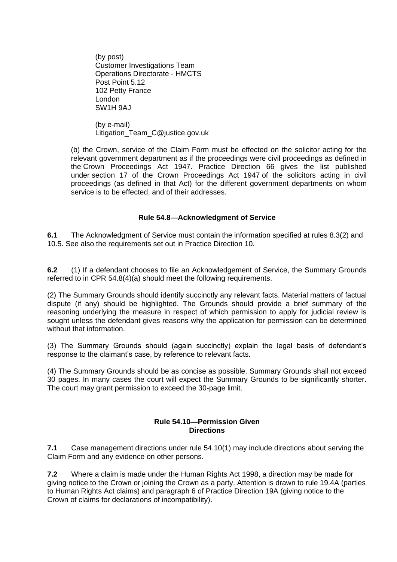(by post) Customer Investigations Team Operations Directorate - HMCTS Post Point 5.12 102 Petty France London SW1H 9AJ

(by e-mail) Litigation\_Team\_C@justice.gov.uk

(b) the Crown, service of the Claim Form must be effected on the solicitor acting for the relevant government department as if the proceedings were civil proceedings as defined in the Crown [Proceedings](https://uk.westlaw.com/Link/Document/FullText?findType=Y&serNum=0292574336&pubNum=121177&originatingDoc=I3F9EEBD0777811E79212DFEE3C6BBBA5&refType=UL&originationContext=document&transitionType=CommentaryUKLink&contextData=(sc.Category)) Act 1947. Practice Direction 66 gives the list published under section 17 of the Crown [Proceedings](https://uk.westlaw.com/Link/Document/FullText?findType=Y&serNum=0111240770&pubNum=121177&originatingDoc=I3F9EEBD0777811E79212DFEE3C6BBBA5&refType=UL&originationContext=document&transitionType=CommentaryUKLink&contextData=(sc.Category)) Act 1947 of the solicitors acting in civil proceedings (as defined in that Act) for the different government departments on whom service is to be effected, and of their addresses.

### **Rule 54.8—Acknowledgment of Service**

**6.1** The Acknowledgment of Service must contain the information specified at rules 8.3(2) and 10.5. See also the requirements set out in Practice Direction 10.

**6.2** (1) If a defendant chooses to file an Acknowledgement of Service, the Summary Grounds referred to in CPR 54.8(4)(a) should meet the following requirements.

(2) The Summary Grounds should identify succinctly any relevant facts. Material matters of factual dispute (if any) should be highlighted. The Grounds should provide a brief summary of the reasoning underlying the measure in respect of which permission to apply for judicial review is sought unless the defendant gives reasons why the application for permission can be determined without that information.

(3) The Summary Grounds should (again succinctly) explain the legal basis of defendant's response to the claimant's case, by reference to relevant facts.

(4) The Summary Grounds should be as concise as possible. Summary Grounds shall not exceed 30 pages. In many cases the court will expect the Summary Grounds to be significantly shorter. The court may grant permission to exceed the 30-page limit.

#### **Rule 54.10—Permission Given Directions**

**7.1** Case management directions under rule [54.10\(1\)](https://uk.westlaw.com/Link/Document/FullText?findType=Y&serNum=0116692736&pubNum=121175&originatingDoc=I3F9EEBD0777811E79212DFEE3C6BBBA5&refType=UL&originationContext=document&transitionType=CommentaryUKLink&contextData=(sc.Category)) may include directions about serving the Claim Form and any evidence on other persons.

**7.2** Where a claim is made under the [Human](https://uk.westlaw.com/Link/Document/FullText?findType=Y&serNum=0292647670&pubNum=121177&originatingDoc=I3F9EEBD0777811E79212DFEE3C6BBBA5&refType=UL&originationContext=document&transitionType=CommentaryUKLink&contextData=(sc.Category)) Rights Act 1998, a direction may be made for giving notice to the Crown or joining the Crown as a party. Attention is drawn to rule [19.4A](https://uk.westlaw.com/Link/Document/FullText?findType=Y&serNum=0295393962&pubNum=121175&originatingDoc=I3F9EEBD0777811E79212DFEE3C6BBBA5&refType=UL&originationContext=document&transitionType=CommentaryUKLink&contextData=(sc.Category)) (parties to Human Rights Act claims) and paragraph 6 of Practice Direction 19A (giving notice to the Crown of claims for declarations of incompatibility).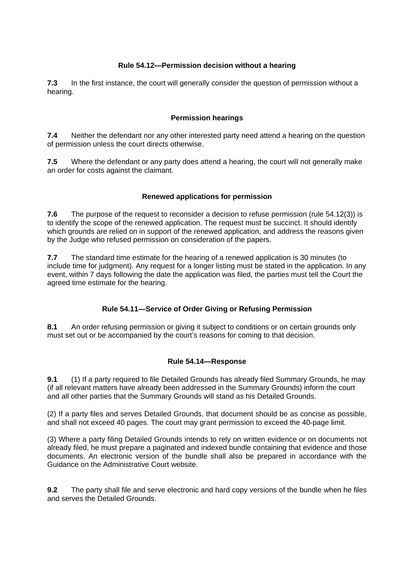## **Rule 54.12—Permission decision without a hearing**

**7.3** In the first instance, the court will generally consider the question of permission without a hearing.

#### **Permission hearings**

**7.4** Neither the defendant nor any other interested party need attend a hearing on the question of permission unless the court directs otherwise.

**7.5** Where the defendant or any party does attend a hearing, the court will not generally make an order for costs against the claimant.

### **Renewed applications for permission**

**7.6** The purpose of the request to reconsider a decision to refuse permission (rule 54.12(3)) is to identify the scope of the renewed application. The request must be succinct. It should identify which grounds are relied on in support of the renewed application, and address the reasons given by the Judge who refused permission on consideration of the papers.

**7.7** The standard time estimate for the hearing of a renewed application is 30 minutes (to include time for judgment). Any request for a longer listing must be stated in the application. In any event, within 7 days following the date the application was filed, the parties must tell the Court the agreed time estimate for the hearing.

## **Rule 54.11—Service of Order Giving or Refusing Permission**

**8.1** An order refusing permission or giving it subject to conditions or on certain grounds only must set out or be accompanied by the court's reasons for coming to that decision.

#### **Rule 54.14—Response**

**9.1** (1) If a party required to file Detailed Grounds has already filed Summary Grounds, he may (if all relevant matters have already been addressed in the Summary Grounds) inform the court and all other parties that the Summary Grounds will stand as his Detailed Grounds.

(2) If a party files and serves Detailed Grounds, that document should be as concise as possible, and shall not exceed 40 pages. The court may grant permission to exceed the 40-page limit.

(3) Where a party filing Detailed Grounds intends to rely on written evidence or on documents not already filed, he must prepare a paginated and indexed bundle containing that evidence and those documents. An electronic version of the bundle shall also be prepared in accordance with the Guidance on the Administrative Court website.

**9.2** The party shall file and serve electronic and hard copy versions of the bundle when he files and serves the Detailed Grounds.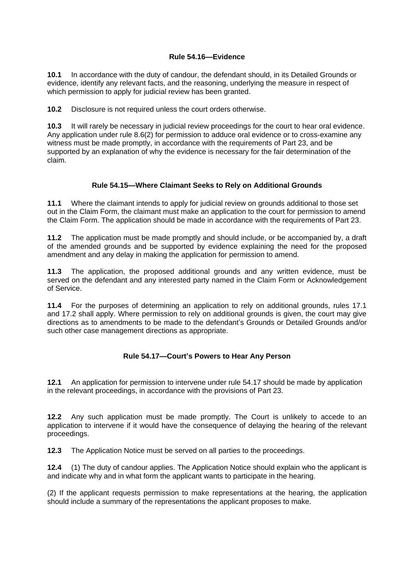#### **Rule 54.16—Evidence**

**10.1** In accordance with the duty of candour, the defendant should, in its Detailed Grounds or evidence, identify any relevant facts, and the reasoning, underlying the measure in respect of which permission to apply for judicial review has been granted.

**10.2** Disclosure is not required unless the court orders otherwise.

**10.3** It will rarely be necessary in judicial review proceedings for the court to hear oral evidence. Any application under rule 8.6(2) for permission to adduce oral evidence or to cross-examine any witness must be made promptly, in accordance with the requirements of Part 23, and be supported by an explanation of why the evidence is necessary for the fair determination of the claim.

#### **Rule 54.15—Where Claimant Seeks to Rely on Additional Grounds**

**11.1** Where the claimant intends to apply for judicial review on grounds additional to those set out in the Claim Form, the claimant must make an application to the court for permission to amend the Claim Form. The application should be made in accordance with the requirements of Part 23.

**11.2** The application must be made promptly and should include, or be accompanied by, a draft of the amended grounds and be supported by evidence explaining the need for the proposed amendment and any delay in making the application for permission to amend.

**11.3** The application, the proposed additional grounds and any written evidence, must be served on the defendant and any interested party named in the Claim Form or Acknowledgement of Service.

**11.4** For the purposes of determining an application to rely on additional grounds, rules 17.1 and 17.2 shall apply. Where permission to rely on additional grounds is given, the court may give directions as to amendments to be made to the defendant's Grounds or Detailed Grounds and/or such other case management directions as appropriate.

#### **Rule 54.17—Court's Powers to Hear Any Person**

**12.1** An application for permission to intervene under rule 54.17 should be made by application in the relevant proceedings, in accordance with the provisions of Part 23.

**12.2** Any such application must be made promptly. The Court is unlikely to accede to an application to intervene if it would have the consequence of delaying the hearing of the relevant proceedings.

**12.3** The Application Notice must be served on all parties to the proceedings.

**12.4** (1) The duty of candour applies. The Application Notice should explain who the applicant is and indicate why and in what form the applicant wants to participate in the hearing.

(2) If the applicant requests permission to make representations at the hearing, the application should include a summary of the representations the applicant proposes to make.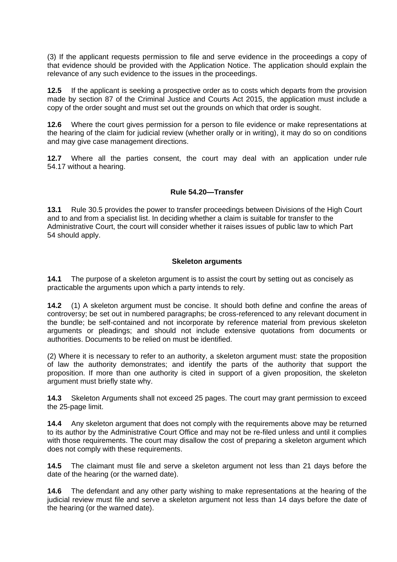(3) If the applicant requests permission to file and serve evidence in the proceedings a copy of that evidence should be provided with the Application Notice. The application should explain the relevance of any such evidence to the issues in the proceedings.

**12.5** If the applicant is seeking a prospective order as to costs which departs from the provision made by section 87 of the Criminal Justice and Courts Act 2015, the application must include a copy of the order sought and must set out the grounds on which that order is sought.

**12.6** Where the court gives permission for a person to file evidence or make representations at the hearing of the claim for judicial review (whether orally or in writing), it may do so on conditions and may give case management directions.

**12.7** Where all the parties consent, the court may deal with an application under [rule](https://uk.westlaw.com/Link/Document/FullText?findType=Y&serNum=0116692760&pubNum=121175&originatingDoc=I3F9EEBD0777811E79212DFEE3C6BBBA5&refType=UL&originationContext=document&transitionType=CommentaryUKLink&contextData=(sc.Category)) [54.17](https://uk.westlaw.com/Link/Document/FullText?findType=Y&serNum=0116692760&pubNum=121175&originatingDoc=I3F9EEBD0777811E79212DFEE3C6BBBA5&refType=UL&originationContext=document&transitionType=CommentaryUKLink&contextData=(sc.Category)) without a hearing.

#### **Rule 54.20—Transfer**

**13.1** Rule 30.5 provides the power to transfer proceedings between Divisions of the High Court and to and from a specialist list. In deciding whether a claim is suitable for transfer to the Administrative Court, the court will consider whether it raises issues of public law to which [Part](https://uk.westlaw.com/Link/Document/FullText?findType=Y&serNum=0295220712&pubNum=121175&originatingDoc=I3F9EEBD0777811E79212DFEE3C6BBBA5&refType=UL&originationContext=document&transitionType=CommentaryUKLink&contextData=(sc.Category)) [54](https://uk.westlaw.com/Link/Document/FullText?findType=Y&serNum=0295220712&pubNum=121175&originatingDoc=I3F9EEBD0777811E79212DFEE3C6BBBA5&refType=UL&originationContext=document&transitionType=CommentaryUKLink&contextData=(sc.Category)) should apply.

#### **Skeleton arguments**

**14.1** The purpose of a skeleton argument is to assist the court by setting out as concisely as practicable the arguments upon which a party intends to rely.

**14.2** (1) A skeleton argument must be concise. It should both define and confine the areas of controversy; be set out in numbered paragraphs; be cross-referenced to any relevant document in the bundle; be self-contained and not incorporate by reference material from previous skeleton arguments or pleadings; and should not include extensive quotations from documents or authorities. Documents to be relied on must be identified.

(2) Where it is necessary to refer to an authority, a skeleton argument must: state the proposition of law the authority demonstrates; and identify the parts of the authority that support the proposition. If more than one authority is cited in support of a given proposition, the skeleton argument must briefly state why.

**14.3** Skeleton Arguments shall not exceed 25 pages. The court may grant permission to exceed the 25-page limit.

**14.4** Any skeleton argument that does not comply with the requirements above may be returned to its author by the Administrative Court Office and may not be re-filed unless and until it complies with those requirements. The court may disallow the cost of preparing a skeleton argument which does not comply with these requirements.

**14.5** The claimant must file and serve a skeleton argument not less than 21 days before the date of the hearing (or the warned date).

**14.6** The defendant and any other party wishing to make representations at the hearing of the judicial review must file and serve a skeleton argument not less than 14 days before the date of the hearing (or the warned date).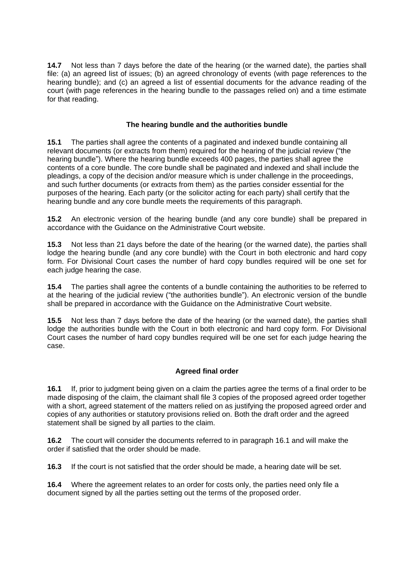**14.7** Not less than 7 days before the date of the hearing (or the warned date), the parties shall file: (a) an agreed list of issues; (b) an agreed chronology of events (with page references to the hearing bundle); and (c) an agreed a list of essential documents for the advance reading of the court (with page references in the hearing bundle to the passages relied on) and a time estimate for that reading.

### **The hearing bundle and the authorities bundle**

**15.1** The parties shall agree the contents of a paginated and indexed bundle containing all relevant documents (or extracts from them) required for the hearing of the judicial review ("the hearing bundle"). Where the hearing bundle exceeds 400 pages, the parties shall agree the contents of a core bundle. The core bundle shall be paginated and indexed and shall include the pleadings, a copy of the decision and/or measure which is under challenge in the proceedings, and such further documents (or extracts from them) as the parties consider essential for the purposes of the hearing. Each party (or the solicitor acting for each party) shall certify that the hearing bundle and any core bundle meets the requirements of this paragraph.

**15.2** An electronic version of the hearing bundle (and any core bundle) shall be prepared in accordance with the Guidance on the Administrative Court website.

**15.3** Not less than 21 days before the date of the hearing (or the warned date), the parties shall lodge the hearing bundle (and any core bundle) with the Court in both electronic and hard copy form. For Divisional Court cases the number of hard copy bundles required will be one set for each judge hearing the case.

**15.4** The parties shall agree the contents of a bundle containing the authorities to be referred to at the hearing of the judicial review ("the authorities bundle"). An electronic version of the bundle shall be prepared in accordance with the Guidance on the Administrative Court website.

**15.5** Not less than 7 days before the date of the hearing (or the warned date), the parties shall lodge the authorities bundle with the Court in both electronic and hard copy form. For Divisional Court cases the number of hard copy bundles required will be one set for each judge hearing the case.

#### **Agreed final order**

**16.1** If, prior to judgment being given on a claim the parties agree the terms of a final order to be made disposing of the claim, the claimant shall file 3 copies of the proposed agreed order together with a short, agreed statement of the matters relied on as justifying the proposed agreed order and copies of any authorities or statutory provisions relied on. Both the draft order and the agreed statement shall be signed by all parties to the claim.

**16.2** The court will consider the documents referred to in paragraph 16.1 and will make the order if satisfied that the order should be made.

**16.3** If the court is not satisfied that the order should be made, a hearing date will be set.

**16.4** Where the agreement relates to an order for costs only, the parties need only file a document signed by all the parties setting out the terms of the proposed order.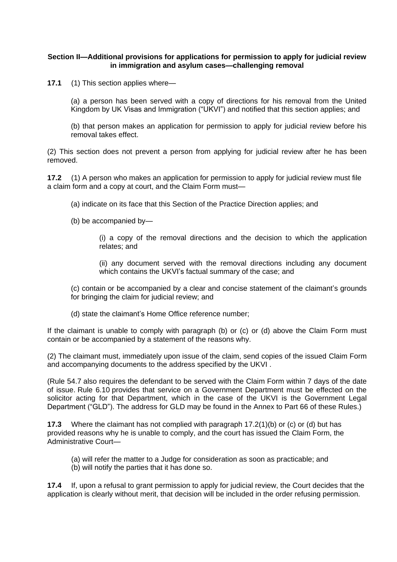#### **Section II—Additional provisions for applications for permission to apply for judicial review in immigration and asylum cases—challenging removal**

**17.1** (1) This section applies where—

(a) a person has been served with a copy of directions for his removal from the United Kingdom by UK Visas and Immigration ("UKVI") and notified that this section applies; and

(b) that person makes an application for permission to apply for judicial review before his removal takes effect.

(2) This section does not prevent a person from applying for judicial review after he has been removed.

**17.2** (1) A person who makes an application for permission to apply for judicial review must file a claim form and a copy at court, and the Claim Form must—

- (a) indicate on its face that this Section of the Practice Direction applies; and
- (b) be accompanied by—

(i) a copy of the removal directions and the decision to which the application relates; and

(ii) any document served with the removal directions including any document which contains the UKVI's factual summary of the case; and

(c) contain or be accompanied by a clear and concise statement of the claimant's grounds for bringing the claim for judicial review; and

(d) state the claimant's Home Office reference number;

If the claimant is unable to comply with paragraph (b) or (c) or (d) above the Claim Form must contain or be accompanied by a statement of the reasons why.

(2) The claimant must, immediately upon issue of the claim, send copies of the issued Claim Form and accompanying documents to the address specified by the UKVI .

[\(Rule](https://uk.westlaw.com/Link/Document/FullText?findType=Y&serNum=0116692718&pubNum=121175&originatingDoc=I3F9EEBD0777811E79212DFEE3C6BBBA5&refType=UL&originationContext=document&transitionType=CommentaryUKLink&contextData=(sc.Category)) 54.7 also requires the defendant to be served with the Claim Form within 7 days of the date of issue. [Rule](https://uk.westlaw.com/Link/Document/FullText?findType=Y&serNum=0111255299&pubNum=121175&originatingDoc=I3F9EEBD0777811E79212DFEE3C6BBBA5&refType=UL&originationContext=document&transitionType=CommentaryUKLink&contextData=(sc.Category)) 6.10 provides that service on a Government Department must be effected on the solicitor acting for that Department, which in the case of the UKVI is the Government Legal Department ("GLD"). The address for GLD may be found in the [Annex](https://uk.westlaw.com/Link/Document/FullText?findType=Y&serNum=0301286671&pubNum=121175&originatingDoc=I3F9EEBD0777811E79212DFEE3C6BBBA5&refType=UL&originationContext=document&transitionType=CommentaryUKLink&contextData=(sc.Category)) to Part 66 of these Rules.)

**17.3** Where the claimant has not complied with paragraph 17.2(1)(b) or (c) or (d) but has provided reasons why he is unable to comply, and the court has issued the Claim Form, the Administrative Court—

- (a) will refer the matter to a Judge for consideration as soon as practicable; and
- (b) will notify the parties that it has done so.

**17.4** If, upon a refusal to grant permission to apply for judicial review, the Court decides that the application is clearly without merit, that decision will be included in the order refusing permission.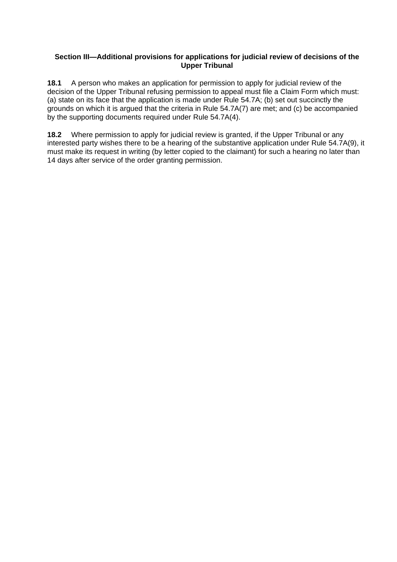#### **Section III—Additional provisions for applications for judicial review of decisions of the Upper Tribunal**

**18.1** A person who makes an application for permission to apply for judicial review of the decision of the Upper Tribunal refusing permission to appeal must file a Claim Form which must: (a) state on its face that the application is made under Rule [54.7A;](https://uk.westlaw.com/Link/Document/FullText?findType=Y&serNum=0371856019&pubNum=121175&originatingDoc=I3F9EEBD0777811E79212DFEE3C6BBBA5&refType=UL&originationContext=document&transitionType=CommentaryUKLink&contextData=(sc.Category)) (b) set out succinctly the grounds on which it is argued that the criteria in Rule [54.7A\(7\)](https://uk.westlaw.com/Link/Document/FullText?findType=Y&serNum=0371856019&pubNum=121175&originatingDoc=I3F9EEBD0777811E79212DFEE3C6BBBA5&refType=UL&originationContext=document&transitionType=CommentaryUKLink&contextData=(sc.Category)) are met; and (c) be accompanied by the supporting documents required under Rule [54.7A\(4\).](https://uk.westlaw.com/Link/Document/FullText?findType=Y&serNum=0371856019&pubNum=121175&originatingDoc=I3F9EEBD0777811E79212DFEE3C6BBBA5&refType=UL&originationContext=document&transitionType=CommentaryUKLink&contextData=(sc.Category))

**18.2** Where permission to apply for judicial review is granted, if the Upper Tribunal or any interested party wishes there to be a hearing of the substantive application under Rule [54.7A\(9\),](https://uk.westlaw.com/Link/Document/FullText?findType=Y&serNum=0371856019&pubNum=121175&originatingDoc=I3F9EEBD0777811E79212DFEE3C6BBBA5&refType=UL&originationContext=document&transitionType=CommentaryUKLink&contextData=(sc.Category)) it must make its request in writing (by letter copied to the claimant) for such a hearing no later than 14 days after service of the order granting permission.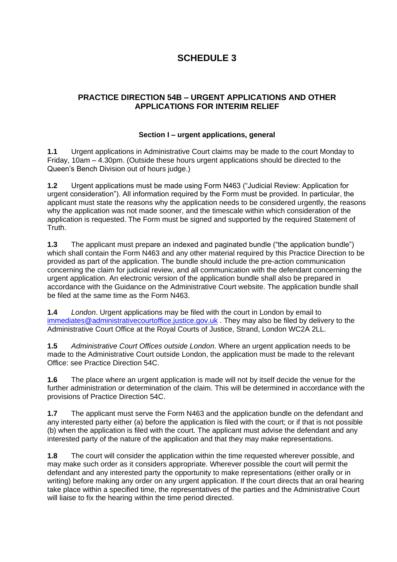# **SCHEDULE 3**

## **PRACTICE DIRECTION 54B – URGENT APPLICATIONS AND OTHER APPLICATIONS FOR INTERIM RELIEF**

### **Section I – urgent applications, general**

**1.1** Urgent applications in Administrative Court claims may be made to the court Monday to Friday, 10am – 4.30pm. (Outside these hours urgent applications should be directed to the Queen's Bench Division out of hours judge.)

**1.2** Urgent applications must be made using Form N463 ("Judicial Review: Application for urgent consideration"). All information required by the Form must be provided. In particular, the applicant must state the reasons why the application needs to be considered urgently, the reasons why the application was not made sooner, and the timescale within which consideration of the application is requested. The Form must be signed and supported by the required Statement of Truth.

**1.3** The applicant must prepare an indexed and paginated bundle ("the application bundle") which shall contain the Form N463 and any other material required by this Practice Direction to be provided as part of the application. The bundle should include the pre-action communication concerning the claim for judicial review, and all communication with the defendant concerning the urgent application. An electronic version of the application bundle shall also be prepared in accordance with the Guidance on the Administrative Court website. The application bundle shall be filed at the same time as the Form N463.

**1.4** *London*. Urgent applications may be filed with the court in London by email to [immediates@administrativecourtoffice.justice.gov.uk](mailto:immediates@administrativecourtoffice.justice.gov.uk) . They may also be filed by delivery to the Administrative Court Office at the Royal Courts of Justice, Strand, London WC2A 2LL.

**1.5** *Administrative Court Offices outside London*. Where an urgent application needs to be made to the Administrative Court outside London, the application must be made to the relevant Office: see Practice Direction 54C.

**1.6** The place where an urgent application is made will not by itself decide the venue for the further administration or determination of the claim. This will be determined in accordance with the provisions of Practice Direction 54C.

**1.7** The applicant must serve the Form N463 and the application bundle on the defendant and any interested party either (a) before the application is filed with the court; or if that is not possible (b) when the application is filed with the court. The applicant must advise the defendant and any interested party of the nature of the application and that they may make representations.

**1.8** The court will consider the application within the time requested wherever possible, and may make such order as it considers appropriate. Wherever possible the court will permit the defendant and any interested party the opportunity to make representations (either orally or in writing) before making any order on any urgent application. If the court directs that an oral hearing take place within a specified time, the representatives of the parties and the Administrative Court will liaise to fix the hearing within the time period directed.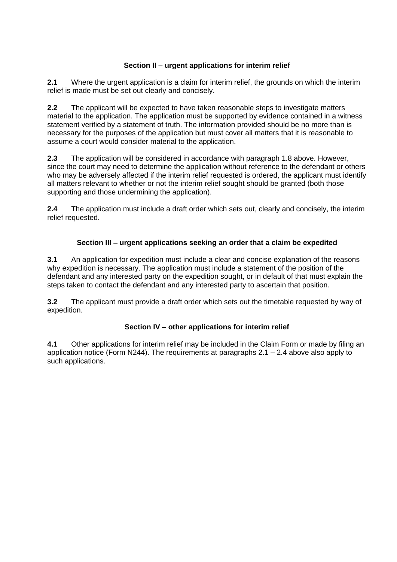## **Section II – urgent applications for interim relief**

**2.1** Where the urgent application is a claim for interim relief, the grounds on which the interim relief is made must be set out clearly and concisely.

**2.2** The applicant will be expected to have taken reasonable steps to investigate matters material to the application. The application must be supported by evidence contained in a witness statement verified by a statement of truth. The information provided should be no more than is necessary for the purposes of the application but must cover all matters that it is reasonable to assume a court would consider material to the application.

**2.3** The application will be considered in accordance with paragraph 1.8 above. However, since the court may need to determine the application without reference to the defendant or others who may be adversely affected if the interim relief requested is ordered, the applicant must identify all matters relevant to whether or not the interim relief sought should be granted (both those supporting and those undermining the application).

**2.4** The application must include a draft order which sets out, clearly and concisely, the interim relief requested.

## **Section III – urgent applications seeking an order that a claim be expedited**

**3.1** An application for expedition must include a clear and concise explanation of the reasons why expedition is necessary. The application must include a statement of the position of the defendant and any interested party on the expedition sought, or in default of that must explain the steps taken to contact the defendant and any interested party to ascertain that position.

**3.2** The applicant must provide a draft order which sets out the timetable requested by way of expedition.

## **Section IV – other applications for interim relief**

**4.1** Other applications for interim relief may be included in the Claim Form or made by filing an application notice (Form N244). The requirements at paragraphs 2.1 – 2.4 above also apply to such applications.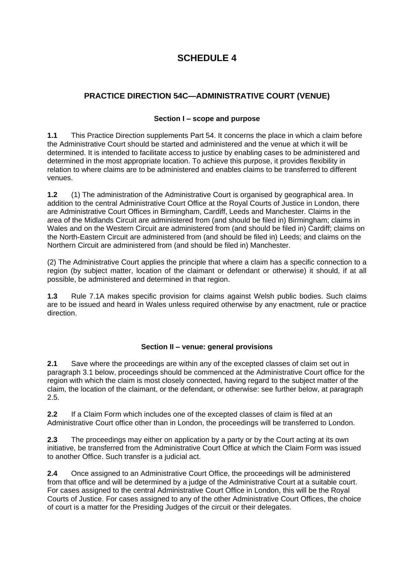# **SCHEDULE 4**

# **PRACTICE DIRECTION 54C—ADMINISTRATIVE COURT (VENUE)**

## **Section I – scope and purpose**

**1.1** This Practice Direction supplements Part 54. It concerns the place in which a claim before the Administrative Court should be started and administered and the venue at which it will be determined. It is intended to facilitate access to justice by enabling cases to be administered and determined in the most appropriate location. To achieve this purpose, it provides flexibility in relation to where claims are to be administered and enables claims to be transferred to different venues.

**1.2** (1) The administration of the Administrative Court is organised by geographical area. In addition to the central Administrative Court Office at the Royal Courts of Justice in London, there are Administrative Court Offices in Birmingham, Cardiff, Leeds and Manchester. Claims in the area of the Midlands Circuit are administered from (and should be filed in) Birmingham; claims in Wales and on the Western Circuit are administered from (and should be filed in) Cardiff; claims on the North-Eastern Circuit are administered from (and should be filed in) Leeds; and claims on the Northern Circuit are administered from (and should be filed in) Manchester.

(2) The Administrative Court applies the principle that where a claim has a specific connection to a region (by subject matter, location of the claimant or defendant or otherwise) it should, if at all possible, be administered and determined in that region.

**1.3** Rule 7.1A makes specific provision for claims against Welsh public bodies. Such claims are to be issued and heard in Wales unless required otherwise by any enactment, rule or practice direction.

## **Section II – venue: general provisions**

**2.1** Save where the proceedings are within any of the excepted classes of claim set out in paragraph 3.1 below, proceedings should be commenced at the Administrative Court office for the region with which the claim is most closely connected, having regard to the subject matter of the claim, the location of the claimant, or the defendant, or otherwise: see further below, at paragraph 2.5.

**2.2** If a Claim Form which includes one of the excepted classes of claim is filed at an Administrative Court office other than in London, the proceedings will be transferred to London.

**2.3** The proceedings may either on application by a party or by the Court acting at its own initiative, be transferred from the Administrative Court Office at which the Claim Form was issued to another Office. Such transfer is a judicial act.

**2.4** Once assigned to an Administrative Court Office, the proceedings will be administered from that office and will be determined by a judge of the Administrative Court at a suitable court. For cases assigned to the central Administrative Court Office in London, this will be the Royal Courts of Justice. For cases assigned to any of the other Administrative Court Offices, the choice of court is a matter for the Presiding Judges of the circuit or their delegates.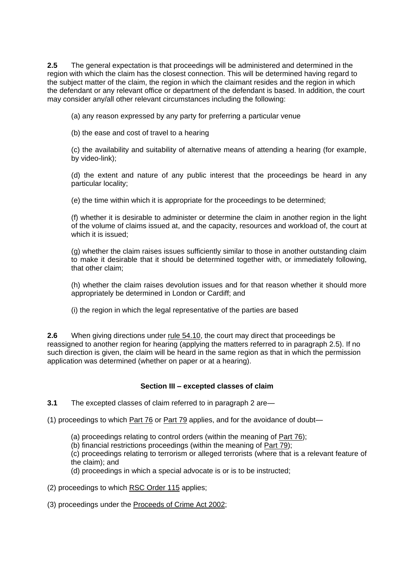**2.5** The general expectation is that proceedings will be administered and determined in the region with which the claim has the closest connection. This will be determined having regard to the subject matter of the claim, the region in which the claimant resides and the region in which the defendant or any relevant office or department of the defendant is based. In addition, the court may consider any/all other relevant circumstances including the following:

(a) any reason expressed by any party for preferring a particular venue

(b) the ease and cost of travel to a hearing

(c) the availability and suitability of alternative means of attending a hearing (for example, by video-link);

(d) the extent and nature of any public interest that the proceedings be heard in any particular locality;

(e) the time within which it is appropriate for the proceedings to be determined;

(f) whether it is desirable to administer or determine the claim in another region in the light of the volume of claims issued at, and the capacity, resources and workload of, the court at which it is issued;

(g) whether the claim raises issues sufficiently similar to those in another outstanding claim to make it desirable that it should be determined together with, or immediately following, that other claim;

(h) whether the claim raises devolution issues and for that reason whether it should more appropriately be determined in London or Cardiff; and

(i) the region in which the legal representative of the parties are based

**2.6** When giving directions under <u>rule 54.10</u>, the court may direct that proceedings be reassigned to another region for hearing (applying the matters referred to in paragraph 2.5). If no such direction is given, the claim will be heard in the same region as that in which the permission application was determined (whether on paper or at a hearing).

#### **Section III – excepted classes of claim**

**3.1** The excepted classes of claim referred to in paragraph 2 are—

- (1) proceedings to which [Part](https://uk.westlaw.com/Link/Document/FullText?findType=Y&serNum=0297850554&pubNum=121175&originatingDoc=I40F94BB0777811E79212DFEE3C6BBBA5&refType=UL&originationContext=document&transitionType=CommentaryUKLink&contextData=(sc.DocLink)) 76 or [Part](https://uk.westlaw.com/Link/Document/FullText?findType=Y&serNum=0336298276&pubNum=121175&originatingDoc=I40F94BB0777811E79212DFEE3C6BBBA5&refType=UL&originationContext=document&transitionType=CommentaryUKLink&contextData=(sc.DocLink)) 79 applies, and for the avoidance of doubt—
	- (a) proceedings relating to control orders (within the meaning of [Part](https://uk.westlaw.com/Link/Document/FullText?findType=Y&serNum=0297850554&pubNum=121175&originatingDoc=I40F94BB0777811E79212DFEE3C6BBBA5&refType=UL&originationContext=document&transitionType=CommentaryUKLink&contextData=(sc.DocLink)) 76);
	- (b) financial restrictions proceedings (within the meaning of [Part](https://uk.westlaw.com/Link/Document/FullText?findType=Y&serNum=0336298276&pubNum=121175&originatingDoc=I40F94BB0777811E79212DFEE3C6BBBA5&refType=UL&originationContext=document&transitionType=CommentaryUKLink&contextData=(sc.DocLink)) 79);

(c) proceedings relating to terrorism or alleged terrorists (where that is a relevant feature of the claim); and

(d) proceedings in which a special advocate is or is to be instructed;

(2) proceedings to which RSC [Order](https://uk.westlaw.com/Link/Document/FullText?findType=Y&serNum=0294885948&pubNum=121175&originatingDoc=I40F94BB0777811E79212DFEE3C6BBBA5&refType=UL&originationContext=document&transitionType=CommentaryUKLink&contextData=(sc.DocLink)) 115 applies;

(3) proceedings under the [Proceeds](https://uk.westlaw.com/Link/Document/FullText?findType=Y&serNum=0295307338&pubNum=121177&originatingDoc=I40F94BB0777811E79212DFEE3C6BBBA5&refType=UL&originationContext=document&transitionType=CommentaryUKLink&contextData=(sc.DocLink)) of Crime Act 2002;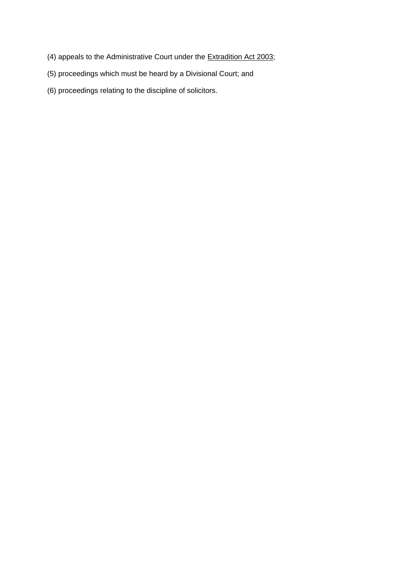- (4) appeals to the Administrative Court under the [Extradition](https://uk.westlaw.com/Link/Document/FullText?findType=Y&serNum=0295461497&pubNum=121177&originatingDoc=I40F94BB0777811E79212DFEE3C6BBBA5&refType=UL&originationContext=document&transitionType=CommentaryUKLink&contextData=(sc.DocLink)) Act 2003;
- (5) proceedings which must be heard by a Divisional Court; and
- (6) proceedings relating to the discipline of solicitors.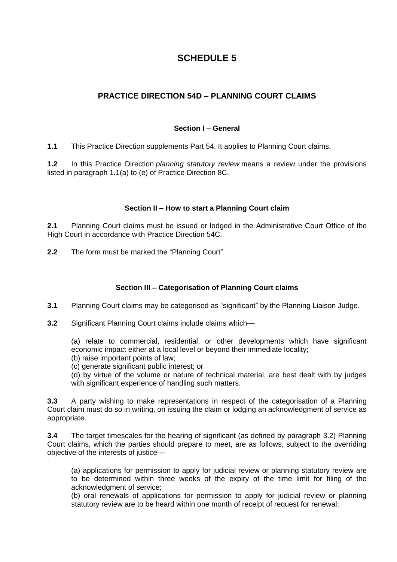# **SCHEDULE 5**

## **PRACTICE DIRECTION 54D – PLANNING COURT CLAIMS**

### **Section I – General**

**1.1** This Practice Direction supplements Part 54. It applies to Planning Court claims.

**1.2** In this Practice Direction *planning statutory review* means a review under the provisions listed in paragraph 1.1(a) to (e) of Practice Direction 8C.

### **Section II – How to start a Planning Court claim**

**2.1** Planning Court claims must be issued or lodged in the Administrative Court Office of the High Court in accordance with Practice Direction 54C.

**2.2** The form must be marked the "Planning Court".

## **Section III – Categorisation of Planning Court claims**

**3.1** Planning Court claims may be categorised as "significant" by the Planning Liaison Judge.

**3.2** Significant Planning Court claims include claims which—

(a) relate to commercial, residential, or other developments which have significant economic impact either at a local level or beyond their immediate locality;

(b) raise important points of law;

(c) generate significant public interest; or

(d) by virtue of the volume or nature of technical material, are best dealt with by judges with significant experience of handling such matters.

**3.3** A party wishing to make representations in respect of the categorisation of a Planning Court claim must do so in writing, on issuing the claim or lodging an acknowledgment of service as appropriate.

**3.4** The target timescales for the hearing of significant (as defined by paragraph 3.2) Planning Court claims, which the parties should prepare to meet, are as follows, subject to the overriding objective of the interests of justice—

(a) applications for permission to apply for judicial review or planning statutory review are to be determined within three weeks of the expiry of the time limit for filing of the acknowledgment of service;

(b) oral renewals of applications for permission to apply for judicial review or planning statutory review are to be heard within one month of receipt of request for renewal;